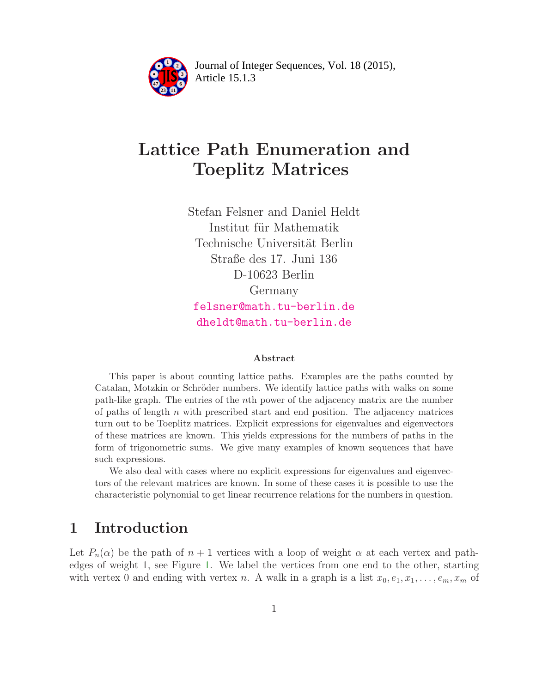

Article 15.1.3 **<sup>2</sup>** Journal of Integer Sequences, Vol. 18 (2015),

# Lattice Path Enumeration and Toeplitz Matrices

Stefan Felsner and Daniel Heldt Institut für Mathematik Technische Universität Berlin Straße des 17. Juni 136 D-10623 Berlin Germany [felsner@math.tu-berlin.de](mailto:felsner@math.tu-berlin.de) [dheldt@math.tu-berlin.de](mailto:dheldt@math.tu-berlin.de)

#### Abstract

This paper is about counting lattice paths. Examples are the paths counted by Catalan, Motzkin or Schröder numbers. We identify lattice paths with walks on some path-like graph. The entries of the nth power of the adjacency matrix are the number of paths of length  $n$  with prescribed start and end position. The adjacency matrices turn out to be Toeplitz matrices. Explicit expressions for eigenvalues and eigenvectors of these matrices are known. This yields expressions for the numbers of paths in the form of trigonometric sums. We give many examples of known sequences that have such expressions.

We also deal with cases where no explicit expressions for eigenvalues and eigenvectors of the relevant matrices are known. In some of these cases it is possible to use the characteristic polynomial to get linear recurrence relations for the numbers in question.

### 1 Introduction

Let  $P_n(\alpha)$  be the path of  $n+1$  vertices with a loop of weight  $\alpha$  at each vertex and pathedges of weight 1, see Figure [1.](#page-1-0) We label the vertices from one end to the other, starting with vertex 0 and ending with vertex n. A walk in a graph is a list  $x_0, e_1, x_1, \ldots, e_m, x_m$  of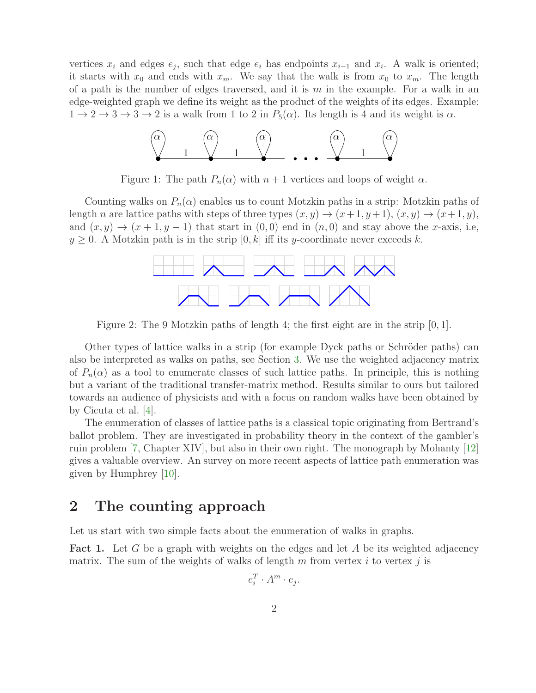vertices  $x_i$  and edges  $e_j$ , such that edge  $e_i$  has endpoints  $x_{i-1}$  and  $x_i$ . A walk is oriented; it starts with  $x_0$  and ends with  $x_m$ . We say that the walk is from  $x_0$  to  $x_m$ . The length of a path is the number of edges traversed, and it is m in the example. For a walk in an edge-weighted graph we define its weight as the product of the weights of its edges. Example:  $1 \rightarrow 2 \rightarrow 3 \rightarrow 3 \rightarrow 2$  is a walk from 1 to 2 in  $P_5(\alpha)$ . Its length is 4 and its weight is  $\alpha$ .



<span id="page-1-0"></span>Figure 1: The path  $P_n(\alpha)$  with  $n+1$  vertices and loops of weight  $\alpha$ .

Counting walks on  $P_n(\alpha)$  enables us to count Motzkin paths in a strip: Motzkin paths of length n are lattice paths with steps of three types  $(x, y) \rightarrow (x+1, y+1), (x, y) \rightarrow (x+1, y)$ , and  $(x, y) \rightarrow (x + 1, y - 1)$  that start in  $(0, 0)$  end in  $(n, 0)$  and stay above the x-axis, i.e,  $y \geq 0$ . A Motzkin path is in the strip  $[0, k]$  iff its y-coordinate never exceeds k.



<span id="page-1-2"></span>Figure 2: The 9 Motzkin paths of length 4; the first eight are in the strip  $[0, 1]$ .

Other types of lattice walks in a strip (for example Dyck paths or Schröder paths) can also be interpreted as walks on paths, see Section [3.](#page-4-0) We use the weighted adjacency matrix of  $P_n(\alpha)$  as a tool to enumerate classes of such lattice paths. In principle, this is nothing but a variant of the traditional transfer-matrix method. Results similar to ours but tailored towards an audience of physicists and with a focus on random walks have been obtained by by Cicuta et al. [\[4\]](#page-14-0).

The enumeration of classes of lattice paths is a classical topic originating from Bertrand's ballot problem. They are investigated in probability theory in the context of the gambler's ruin problem [\[7,](#page-14-1) Chapter XIV], but also in their own right. The monograph by Mohanty [\[12\]](#page-14-2) gives a valuable overview. An survey on more recent aspects of lattice path enumeration was given by Humphrey [\[10\]](#page-14-3).

# <span id="page-1-3"></span>2 The counting approach

<span id="page-1-1"></span>Let us start with two simple facts about the enumeration of walks in graphs.

**Fact 1.** Let G be a graph with weights on the edges and let A be its weighted adjacency matrix. The sum of the weights of walks of length m from vertex i to vertex j is

$$
e_i^T \cdot A^m \cdot e_j.
$$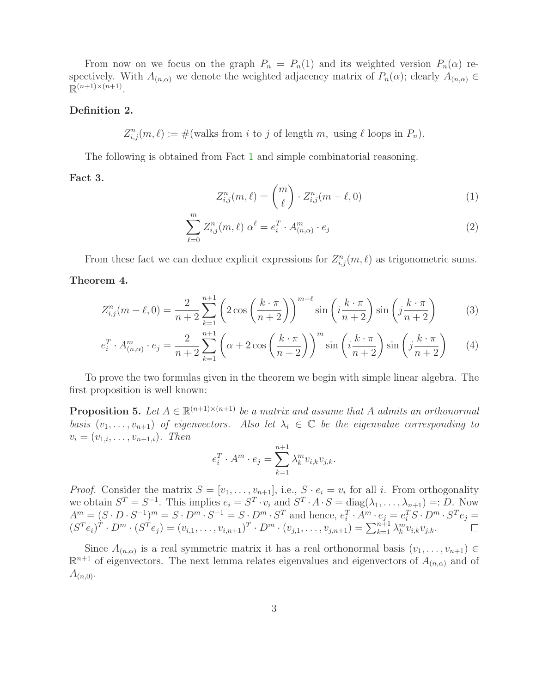From now on we focus on the graph  $P_n = P_n(1)$  and its weighted version  $P_n(\alpha)$  respectively. With  $A_{(n,\alpha)}$  we denote the weighted adjacency matrix of  $P_n(\alpha)$ ; clearly  $A_{(n,\alpha)} \in$  $\mathbb{R}^{(n+1)\times(n+1)}$ .

#### Definition 2.

 $Z_{i,j}^n(m,\ell) := \#(\text{walks from } i \text{ to } j \text{ of length } m, \text{ using } \ell \text{ loops in } P_n).$ 

<span id="page-2-3"></span>The following is obtained from Fact [1](#page-1-1) and simple combinatorial reasoning.

#### Fact 3.

$$
Z_{i,j}^n(m,\ell) = \binom{m}{\ell} \cdot Z_{i,j}^n(m-\ell,0) \tag{1}
$$

$$
\sum_{\ell=0}^{m} Z_{i,j}^{n}(m,\ell) \alpha^{\ell} = e_i^{T} \cdot A_{(n,\alpha)}^{m} \cdot e_j
$$
\n(2)

<span id="page-2-0"></span>From these fact we can deduce explicit expressions for  $Z_{i,j}^n(m,\ell)$  as trigonometric sums. Theorem 4.

$$
Z_{i,j}^n(m-\ell,0) = \frac{2}{n+2} \sum_{k=1}^{n+1} \left(2\cos\left(\frac{k\cdot\pi}{n+2}\right)\right)^{m-\ell} \sin\left(i\frac{k\cdot\pi}{n+2}\right)\sin\left(j\frac{k\cdot\pi}{n+2}\right) \tag{3}
$$

$$
e_i^T \cdot A_{(n,\alpha)}^m \cdot e_j = \frac{2}{n+2} \sum_{k=1}^{n+1} \left( \alpha + 2 \cos\left(\frac{k \cdot \pi}{n+2}\right) \right)^m \sin\left(i \frac{k \cdot \pi}{n+2}\right) \sin\left(j \frac{k \cdot \pi}{n+2}\right) \tag{4}
$$

<span id="page-2-1"></span>To prove the two formulas given in the theorem we begin with simple linear algebra. The first proposition is well known:

**Proposition 5.** Let  $A \in \mathbb{R}^{(n+1)\times(n+1)}$  be a matrix and assume that A admits an orthonormal basis  $(v_1, \ldots, v_{n+1})$  of eigenvectors. Also let  $\lambda_i \in \mathbb{C}$  be the eigenvalue corresponding to  $v_i = (v_{1,i}, \ldots, v_{n+1,i})$ . Then

$$
e_i^T \cdot A^m \cdot e_j = \sum_{k=1}^{n+1} \lambda_k^m v_{i,k} v_{j,k}.
$$

*Proof.* Consider the matrix  $S = [v_1, \ldots, v_{n+1}]$ , i.e.,  $S \cdot e_i = v_i$  for all i. From orthogonality we obtain  $S^T = S^{-1}$ . This implies  $e_i = S^T \cdot v_i$  and  $S^T \cdot A \cdot S = \text{diag}(\lambda_1, \dots, \lambda_{n+1}) =: D$ . Now  $A^m = (S \cdot D \cdot S^{-1})^m = S \cdot D^m \cdot S^{-1} = S \cdot D^m \cdot S^T$  and hence,  $e_i^T \cdot A^m \cdot e_j = e_i^T S \cdot D^m \cdot S^T e_j =$  $(S^T e_i)^T \cdot D^m \cdot (S^T e_j) = (v_{i,1}, \ldots, v_{i,n+1})^T \cdot D^m \cdot (v_{j,1}, \ldots, v_{j,n+1}) = \sum_{k=1}^{n+1} \lambda_k^m v_{i,k} v_{j,k}.$ 

<span id="page-2-2"></span>Since  $A_{(n,\alpha)}$  is a real symmetric matrix it has a real orthonormal basis  $(v_1,\ldots,v_{n+1}) \in$  $\mathbb{R}^{n+1}$  of eigenvectors. The next lemma relates eigenvalues and eigenvectors of  $A_{(n,\alpha)}$  and of  $A_{(n,0)}$ .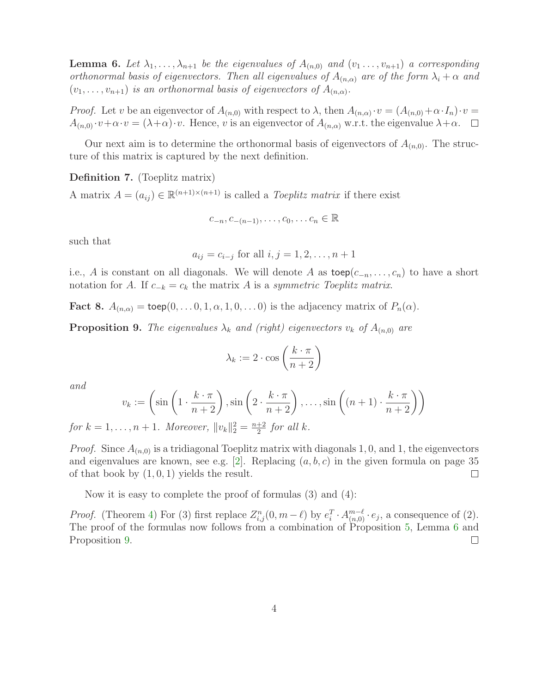**Lemma 6.** Let  $\lambda_1, \ldots, \lambda_{n+1}$  be the eigenvalues of  $A_{(n,0)}$  and  $(v_1, \ldots, v_{n+1})$  a corresponding orthonormal basis of eigenvectors. Then all eigenvalues of  $A_{(n,\alpha)}$  are of the form  $\lambda_i + \alpha$  and  $(v_1, \ldots, v_{n+1})$  is an orthonormal basis of eigenvectors of  $A_{(n,\alpha)}$ .

*Proof.* Let v be an eigenvector of  $A_{(n,0)}$  with respect to  $\lambda$ , then  $A_{(n,\alpha)} \cdot v = (A_{(n,0)} + \alpha \cdot I_n) \cdot v =$  $A_{(n,0)} \cdot v + \alpha \cdot v = (\lambda + \alpha) \cdot v$ . Hence, v is an eigenvector of  $A_{(n,\alpha)}$  w.r.t. the eigenvalue  $\lambda + \alpha$ .  $\Box$ 

Our next aim is to determine the orthonormal basis of eigenvectors of  $A_{(n,0)}$ . The structure of this matrix is captured by the next definition.

Definition 7. (Toeplitz matrix)

A matrix  $A = (a_{ij}) \in \mathbb{R}^{(n+1)\times(n+1)}$  is called a *Toeplitz matrix* if there exist

$$
c_{-n}, c_{-(n-1)}, \ldots, c_0, \ldots c_n \in \mathbb{R}
$$

such that

$$
a_{ij} = c_{i-j}
$$
 for all  $i, j = 1, 2, ..., n+1$ 

i.e., A is constant on all diagonals. We will denote A as  $\mathsf{toep}(c_{-n}, \ldots, c_n)$  to have a short notation for A. If  $c_{-k} = c_k$  the matrix A is a symmetric Toeplitz matrix.

<span id="page-3-0"></span>**Fact 8.**  $A_{(n,\alpha)} = \text{toep}(0, \ldots, 0, 1, \alpha, 1, 0, \ldots, 0)$  is the adjacency matrix of  $P_n(\alpha)$ .

**Proposition 9.** The eigenvalues  $\lambda_k$  and (right) eigenvectors  $v_k$  of  $A_{(n,0)}$  are

$$
\lambda_k := 2 \cdot \cos\left(\frac{k \cdot \pi}{n+2}\right)
$$

and

$$
v_k := \left(\sin\left(1 \cdot \frac{k \cdot \pi}{n+2}\right), \sin\left(2 \cdot \frac{k \cdot \pi}{n+2}\right), \dots, \sin\left((n+1) \cdot \frac{k \cdot \pi}{n+2}\right)\right)
$$

for  $k = 1, ..., n + 1$ . Moreover,  $||v_k||_2^2 = \frac{n+2}{2}$  $rac{+2}{2}$  for all k.

*Proof.* Since  $A_{(n,0)}$  is a tridiagonal Toeplitz matrix with diagonals 1,0, and 1, the eigenvectors and eigenvalues are known, see e.g.  $[2]$ . Replacing  $(a, b, c)$  in the given formula on page 35 of that book by  $(1, 0, 1)$  yields the result.  $\Box$ 

Now it is easy to complete the proof of formulas (3) and (4):

*Proof.* (Theorem [4\)](#page-2-0) For (3) first replace  $Z_{i,j}^n(0, m - \ell)$  by  $e_i^T \cdot A_{(n,0)}^{m-\ell} \cdot e_j$ , a consequence of (2). The proof of the formulas now follows from a combination of Proposition [5,](#page-2-1) Lemma [6](#page-2-2) and Proposition [9.](#page-3-0)  $\Box$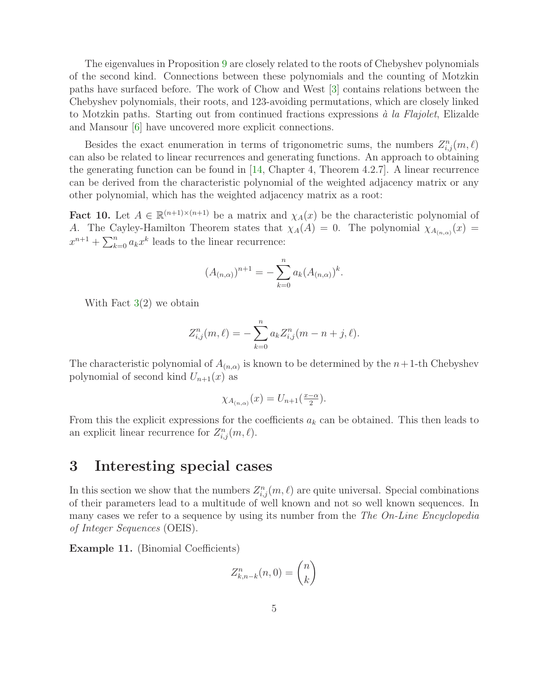The eigenvalues in Proposition [9](#page-3-0) are closely related to the roots of Chebyshev polynomials of the second kind. Connections between these polynomials and the counting of Motzkin paths have surfaced before. The work of Chow and West [\[3\]](#page-14-5) contains relations between the Chebyshev polynomials, their roots, and 123-avoiding permutations, which are closely linked to Motzkin paths. Starting out from continued fractions expressions  $\dot{a}$  la Flajolet, Elizalde and Mansour [\[6\]](#page-14-6) have uncovered more explicit connections.

Besides the exact enumeration in terms of trigonometric sums, the numbers  $Z_{i,j}^n(m,\ell)$ can also be related to linear recurrences and generating functions. An approach to obtaining the generating function can be found in [\[14,](#page-14-7) Chapter 4, Theorem 4.2.7]. A linear recurrence can be derived from the characteristic polynomial of the weighted adjacency matrix or any other polynomial, which has the weighted adjacency matrix as a root:

<span id="page-4-1"></span>Fact 10. Let  $A \in \mathbb{R}^{(n+1)\times(n+1)}$  be a matrix and  $\chi_A(x)$  be the characteristic polynomial of A. The Cayley-Hamilton Theorem states that  $\chi_A(A) = 0$ . The polynomial  $\chi_{A_{(n,\alpha)}}(x) =$  $x^{n+1} + \sum_{k=0}^{n} a_k x^k$  leads to the linear recurrence:

$$
(A_{(n,\alpha)})^{n+1} = -\sum_{k=0}^{n} a_k (A_{(n,\alpha)})^k.
$$

With Fact  $3(2)$  $3(2)$  we obtain

$$
Z_{i,j}^n(m,\ell) = -\sum_{k=0}^n a_k Z_{i,j}^n(m-n+j,\ell).
$$

The characteristic polynomial of  $A_{(n,\alpha)}$  is known to be determined by the  $n+1$ -th Chebyshev polynomial of second kind  $U_{n+1}(x)$  as

$$
\chi_{A_{(n,\alpha)}}(x) = U_{n+1}(\frac{x-\alpha}{2}).
$$

From this the explicit expressions for the coefficients  $a_k$  can be obtained. This then leads to an explicit linear recurrence for  $Z_{i,j}^n(m,\ell)$ .

### <span id="page-4-0"></span>3 Interesting special cases

In this section we show that the numbers  $Z_{i,j}^n(m,\ell)$  are quite universal. Special combinations of their parameters lead to a multitude of well known and not so well known sequences. In many cases we refer to a sequence by using its number from the The On-Line Encyclopedia of Integer Sequences (OEIS).

Example 11. (Binomial Coefficients)

$$
Z_{k,n-k}^n(n,0) = \binom{n}{k}
$$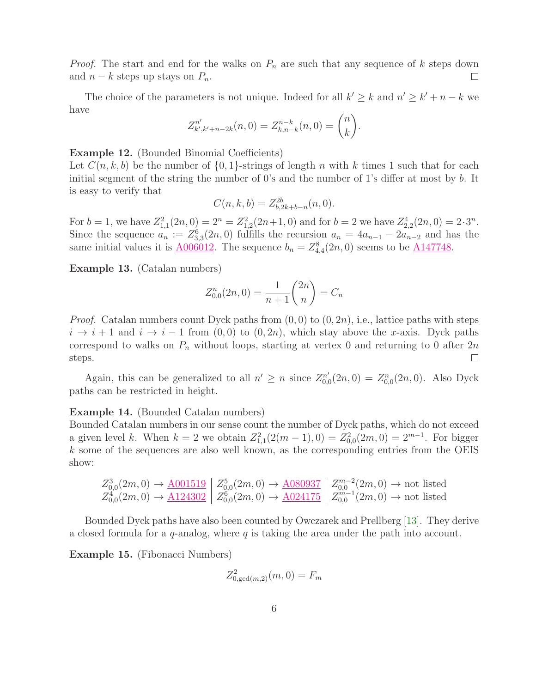*Proof.* The start and end for the walks on  $P_n$  are such that any sequence of k steps down and  $n - k$  steps up stays on  $P_n$ .  $\Box$ 

The choice of the parameters is not unique. Indeed for all  $k' \geq k$  and  $n' \geq k' + n - k$  we have

$$
Z_{k',k'+n-2k}^{n'}(n,0) = Z_{k,n-k}^{n-k}(n,0) = \binom{n}{k}.
$$

#### Example 12. (Bounded Binomial Coefficients)

Let  $C(n, k, b)$  be the number of  $\{0, 1\}$ -strings of length n with k times 1 such that for each initial segment of the string the number of 0's and the number of 1's differ at most by b. It is easy to verify that

$$
C(n,k,b) = Z_{b,2k+b-n}^{2b}(n,0).
$$

For  $b = 1$ , we have  $Z_{1,1}^2(2n,0) = 2^n = Z_{1,2}^2(2n+1,0)$  and for  $b = 2$  we have  $Z_{2,2}^4(2n,0) = 2 \cdot 3^n$ . Since the sequence  $a_n := Z_{3,3}^6(2n,0)$  fulfills the recursion  $a_n = 4a_{n-1} - 2a_{n-2}$  and has the same initial values it is  $\underline{A006012}$ . The sequence  $b_n = Z_{4,4}^8(2n,0)$  seems to be  $\underline{A147748}$ .

Example 13. (Catalan numbers)

$$
Z_{0,0}^n(2n,0) = \frac{1}{n+1} \binom{2n}{n} = C_n
$$

*Proof.* Catalan numbers count Dyck paths from  $(0, 0)$  to  $(0, 2n)$ , i.e., lattice paths with steps  $i \to i + 1$  and  $i \to i - 1$  from  $(0, 0)$  to  $(0, 2n)$ , which stay above the x-axis. Dyck paths correspond to walks on  $P_n$  without loops, starting at vertex 0 and returning to 0 after  $2n$  $\Box$ steps.

Again, this can be generalized to all  $n' \geq n$  since  $Z_{0}^{n'}$  $U_{0,0}^{n'}(2n,0) = Z_{0,0}^{n}(2n,0)$ . Also Dyck paths can be restricted in height.

#### Example 14. (Bounded Catalan numbers)

Bounded Catalan numbers in our sense count the number of Dyck paths, which do not exceed a given level k. When  $k = 2$  we obtain  $Z_{1,1}^2(2(m-1), 0) = Z_{0,0}^2(2m, 0) = 2^{m-1}$ . For bigger k some of the sequences are also well known, as the corresponding entries from the OEIS show:

$$
Z_{0,0}^3(2m,0) \to \underline{\mathrm{A001519}} \left| \begin{array}{c} Z_{0,0}^5(2m,0) \to \underline{\mathrm{A080937}} \\ Z_{0,0}^4(2m,0) \to \underline{\mathrm{A124302}} \end{array} \right| Z_{0,0}^{5}(2m,0) \to \underline{\mathrm{A080937}} \left| \begin{array}{c} Z_{0,0}^{m-2}(2m,0) \to \text{not listed} \\ Z_{0,0}^{m-1}(2m,0) \to \text{not listed} \end{array} \right|
$$

Bounded Dyck paths have also been counted by Owczarek and Prellberg [\[13\]](#page-14-8). They derive a closed formula for a  $q$ -analog, where  $q$  is taking the area under the path into account.

Example 15. (Fibonacci Numbers)

$$
Z_{0,\gcd(m,2)}^2(m,0) = F_m
$$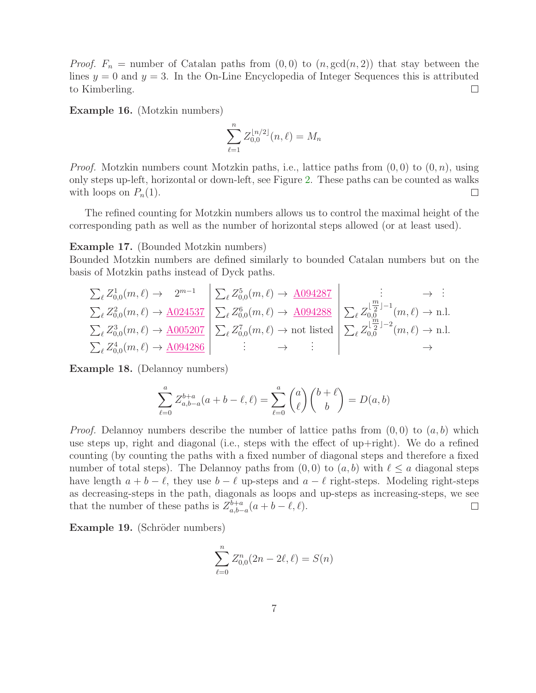*Proof.*  $F_n$  = number of Catalan paths from  $(0,0)$  to  $(n, \gcd(n,2))$  that stay between the lines  $y = 0$  and  $y = 3$ . In the On-Line Encyclopedia of Integer Sequences this is attributed  $\Box$ to Kimberling.

Example 16. (Motzkin numbers)

$$
\sum_{\ell=1}^{n} Z_{0,0}^{\lfloor n/2 \rfloor}(n,\ell) = M_n
$$

*Proof.* Motzkin numbers count Motzkin paths, i.e., lattice paths from  $(0, 0)$  to  $(0, n)$ , using only steps up-left, horizontal or down-left, see Figure [2.](#page-1-2) These paths can be counted as walks with loops on  $P_n(1)$ .  $\Box$ 

The refined counting for Motzkin numbers allows us to control the maximal height of the corresponding path as well as the number of horizontal steps allowed (or at least used).

Example 17. (Bounded Motzkin numbers)

Bounded Motzkin numbers are defined similarly to bounded Catalan numbers but on the basis of Motzkin paths instead of Dyck paths.

$$
\sum_{\ell} Z_{0,0}^1(m,\ell) \to 2^{m-1} \left| \sum_{\ell} Z_{0,0}^5(m,\ell) \to \underline{A094287} \right| \xrightarrow{\vdots} \sum_{\ell} Z_{0,0}^2(m,\ell) \to \underline{A024537} \left| \sum_{\ell} Z_{0,0}^6(m,\ell) \to \underline{A094288} \right| \xrightarrow{\vdots} \sum_{\ell} Z_{0,0}^{\lfloor \frac{m}{2} \rfloor - 1}(m,\ell) \to \text{n.l.}
$$
\n
$$
\sum_{\ell} Z_{0,0}^3(m,\ell) \to \underline{A005207} \left| \sum_{\ell} Z_{0,0}^7(m,\ell) \to \text{not listed} \right| \xrightarrow{\sum_{\ell} Z_{0,0}^{\lfloor \frac{m}{2} \rfloor - 2}(m,\ell) \to \text{n.l.}
$$
\n
$$
\sum_{\ell} Z_{0,0}^4(m,\ell) \to \underline{A094286} \left| \begin{array}{c} \vdots & \to \\ \sum_{\ell} Z_{0,0}^{\lfloor \frac{m}{2} \rfloor - 2}(m,\ell) \to \text{n.l.}
$$

Example 18. (Delannoy numbers)

$$
\sum_{\ell=0}^{a} Z_{a,b-a}^{b+a}(a+b-\ell,\ell) = \sum_{\ell=0}^{a} \binom{a}{\ell} \binom{b+\ell}{b} = D(a,b)
$$

*Proof.* Delannoy numbers describe the number of lattice paths from  $(0, 0)$  to  $(a, b)$  which use steps up, right and diagonal (i.e., steps with the effect of up+right). We do a refined counting (by counting the paths with a fixed number of diagonal steps and therefore a fixed number of total steps). The Delannoy paths from  $(0, 0)$  to  $(a, b)$  with  $\ell \leq a$  diagonal steps have length  $a + b - \ell$ , they use  $b - \ell$  up-steps and  $a - \ell$  right-steps. Modeling right-steps as decreasing-steps in the path, diagonals as loops and up-steps as increasing-steps, we see that the number of these paths is  $Z_{a,b}^{b+a}$  $a_{a,b-a}^{b+a}(a+b-\ell,\ell).$  $\Box$ 

Example 19. (Schröder numbers)

$$
\sum_{\ell=0}^{n} Z_{0,0}^{n}(2n - 2\ell, \ell) = S(n)
$$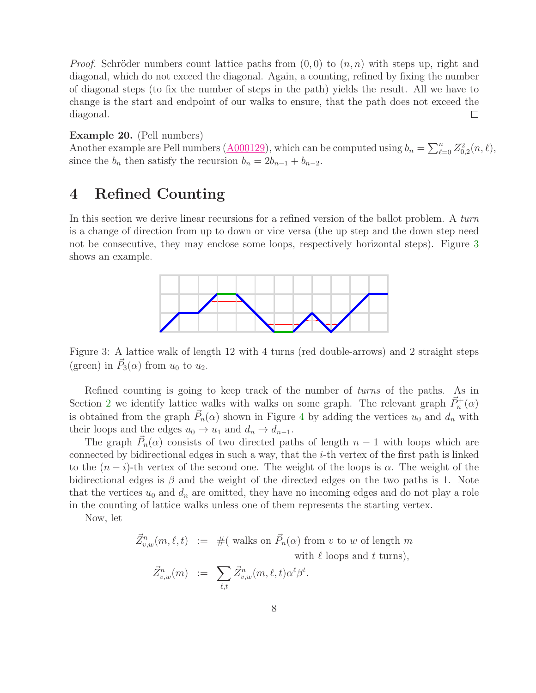*Proof.* Schröder numbers count lattice paths from  $(0, 0)$  to  $(n, n)$  with steps up, right and diagonal, which do not exceed the diagonal. Again, a counting, refined by fixing the number of diagonal steps (to fix the number of steps in the path) yields the result. All we have to change is the start and endpoint of our walks to ensure, that the path does not exceed the diagonal.  $\Box$ 

#### Example 20. (Pell numbers)

Another example are Pell numbers ( $\underline{A000129}$ ), which can be computed using  $b_n = \sum_{\ell=0}^n Z_{0,2}^2(n,\ell)$ , since the  $b_n$  then satisfy the recursion  $b_n = 2b_{n-1} + b_{n-2}$ .

# <span id="page-7-1"></span>4 Refined Counting

In this section we derive linear recursions for a refined version of the ballot problem. A turn is a change of direction from up to down or vice versa (the up step and the down step need not be consecutive, they may enclose some loops, respectively horizontal steps). Figure [3](#page-7-0) shows an example.



<span id="page-7-0"></span>Figure 3: A lattice walk of length 12 with 4 turns (red double-arrows) and 2 straight steps (green) in  $\vec{P}_3(\alpha)$  from  $u_0$  to  $u_2$ .

Refined counting is going to keep track of the number of *turns* of the paths. As in Section [2](#page-1-3) we identify lattice walks with walks on some graph. The relevant graph  $\vec{P}_n^{\dagger}(\alpha)$ is obtained from the graph  $\vec{P}_n(\alpha)$  shown in Figure [4](#page-8-0) by adding the vertices  $u_0$  and  $d_n$  with their loops and the edges  $u_0 \to u_1$  and  $d_n \to d_{n-1}$ .

The graph  $\vec{P}_n(\alpha)$  consists of two directed paths of length  $n-1$  with loops which are connected by bidirectional edges in such a way, that the  $i$ -th vertex of the first path is linked to the  $(n-i)$ -th vertex of the second one. The weight of the loops is  $\alpha$ . The weight of the bidirectional edges is  $\beta$  and the weight of the directed edges on the two paths is 1. Note that the vertices  $u_0$  and  $d_n$  are omitted, they have no incoming edges and do not play a role in the counting of lattice walks unless one of them represents the starting vertex.

Now, let

 $\vec{Z}^n_{v,w}(m,\ell,t) := \#$  (walks on  $\vec{P}_n(\alpha)$  from v to w of length m with  $\ell$  loops and t turns),  $\vec{Z}_{v}^{\prime}$  $\hat{b}_{v,w}^n(m)$  :=  $\sum$  $\vec{Z}_{v}^n$  $v_{v,w}^n(m,\ell,t)\alpha$  $^{\ell} \beta$ t .

$$
P_{t,w}^n(m) \quad := \quad \sum_{\ell,t} Z_{v,w}^n(m,\ell,t) \alpha^{\ell} \beta^t.
$$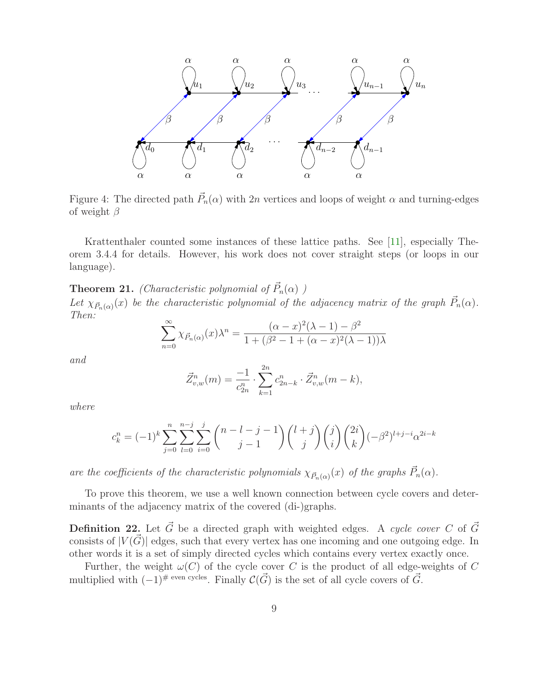

<span id="page-8-0"></span>Figure 4: The directed path  $\vec{P}_n(\alpha)$  with 2n vertices and loops of weight  $\alpha$  and turning-edges of weight  $\beta$ 

Krattenthaler counted some instances of these lattice paths. See [\[11\]](#page-14-9), especially Theorem 3.4.4 for details. However, his work does not cover straight steps (or loops in our language).

<span id="page-8-1"></span>**Theorem 21.** (Characteristic polynomial of  $\vec{P}_n(\alpha)$ ) Let  $\chi_{\vec{P}_n(\alpha)}(x)$  be the characteristic polynomial of the adjacency matrix of the graph  $\vec{P}_n(\alpha)$ . Then:

$$
\sum_{n=0}^{\infty} \chi_{\vec{P}_n(\alpha)}(x) \lambda^n = \frac{(\alpha - x)^2 (\lambda - 1) - \beta^2}{1 + (\beta^2 - 1 + (\alpha - x)^2 (\lambda - 1))\lambda}
$$

and

$$
\vec{Z}_{v,w}^n(m) = \frac{-1}{c_{2n}^n} \cdot \sum_{k=1}^{2n} c_{2n-k}^n \cdot \vec{Z}_{v,w}^n(m-k),
$$

where

$$
c_k^n = (-1)^k \sum_{j=0}^n \sum_{l=0}^{n-j} \sum_{i=0}^j {n-l-j-1 \choose j-1} {l+j \choose j} {j \choose i} {2i \choose k} (-\beta^2)^{l+j-i} \alpha^{2i-k}
$$

are the coefficients of the characteristic polynomials  $\chi_{\vec{P}_n(\alpha)}(x)$  of the graphs  $\vec{P}_n(\alpha)$ .

To prove this theorem, we use a well known connection between cycle covers and determinants of the adjacency matrix of the covered (di-)graphs.

**Definition 22.** Let  $\vec{G}$  be a directed graph with weighted edges. A cycle cover C of  $\vec{G}$ consists of  $|V(\vec{G})|$  edges, such that every vertex has one incoming and one outgoing edge. In other words it is a set of simply directed cycles which contains every vertex exactly once.

<span id="page-8-2"></span>Further, the weight  $\omega(C)$  of the cycle cover C is the product of all edge-weights of C multiplied with  $(-1)^{\# \text{ even cycles}}$ . Finally  $\mathcal{C}(\vec{G})$  is the set of all cycle covers of  $\vec{G}$ .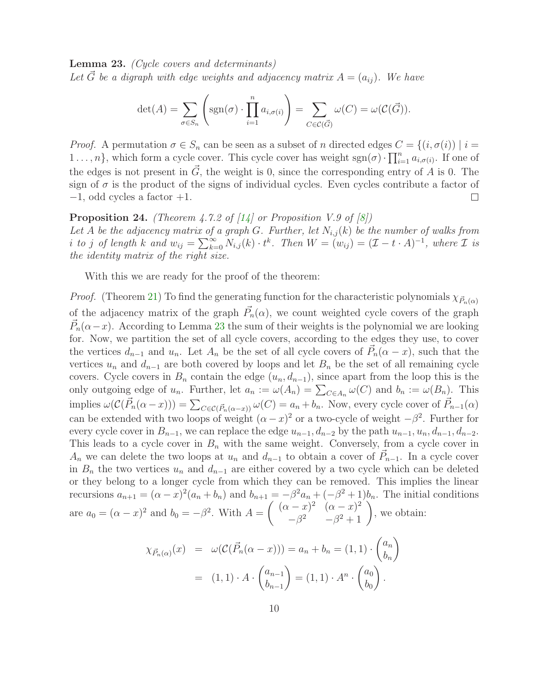Lemma 23. (Cycle covers and determinants) Let  $\vec{G}$  be a digraph with edge weights and adjacency matrix  $A = (a_{ij})$ . We have

$$
\det(A) = \sum_{\sigma \in S_n} \left( \text{sgn}(\sigma) \cdot \prod_{i=1}^n a_{i,\sigma(i)} \right) = \sum_{C \in \mathcal{C}(\vec{G})} \omega(C) = \omega(\mathcal{C}(\vec{G})).
$$

*Proof.* A permutation  $\sigma \in S_n$  can be seen as a subset of n directed edges  $C = \{(i, \sigma(i)) \mid i =$  $1 \ldots, n$ , which form a cycle cover. This cycle cover has weight  $sgn(\sigma) \cdot \prod_{i=1}^{n} a_{i,\sigma(i)}$ . If one of the edges is not present in  $\vec{G}$ , the weight is 0, since the corresponding entry of A is 0. The sign of  $\sigma$  is the product of the signs of individual cycles. Even cycles contribute a factor of  $-1$ , odd cycles a factor  $+1$ .  $\Box$ 

#### <span id="page-9-0"></span>**Proposition 24.** (Theorem 4.7.2 of  $\begin{bmatrix} 14 \end{bmatrix}$  or Proposition V.9 of  $\begin{bmatrix} 8 \end{bmatrix}$ )

Let A be the adjacency matrix of a graph G. Further, let  $N_{i,j}(k)$  be the number of walks from i to j of length k and  $w_{ij} = \sum_{k=0}^{\infty} N_{i,j}(k) \cdot t^k$ . Then  $W = (w_{ij}) = (\mathcal{I} - t \cdot A)^{-1}$ , where  $\mathcal I$  is the identity matrix of the right size.

With this we are ready for the proof of the theorem:

*Proof.* (Theorem [21\)](#page-8-1) To find the generating function for the characteristic polynomials  $\chi_{\vec{P}_n(q)}$ of the adjacency matrix of the graph  $\vec{P}_n(\alpha)$ , we count weighted cycle covers of the graph  $\vec{P}_n(\alpha-x)$ . According to Lemma [23](#page-8-2) the sum of their weights is the polynomial we are looking for. Now, we partition the set of all cycle covers, according to the edges they use, to cover the vertices  $d_{n-1}$  and  $u_n$ . Let  $A_n$  be the set of all cycle covers of  $\vec{P}_n(\alpha - x)$ , such that the vertices  $u_n$  and  $d_{n-1}$  are both covered by loops and let  $B_n$  be the set of all remaining cycle covers. Cycle covers in  $B_n$  contain the edge  $(u_n, d_{n-1})$ , since apart from the loop this is the only outgoing edge of  $u_n$ . Further, let  $a_n := \omega(A_n) = \sum_{C \in A_n} \omega(C)$  and  $b_n := \omega(B_n)$ . This implies  $\omega(\mathcal{C}(\vec{P}_n(\alpha-x))) = \sum_{C \in \mathcal{C}(\vec{P}_n(\alpha-x))} \omega(C) = a_n + b_n$ . Now, every cycle cover of  $\vec{P}_{n-1}(\alpha)$ can be extended with two loops of weight  $(\alpha - x)^2$  or a two-cycle of weight  $-\beta^2$ . Further for every cycle cover in  $B_{n-1}$ , we can replace the edge  $u_{n-1}, d_{n-2}$  by the path  $u_{n-1}, u_n, d_{n-1}, d_{n-2}$ . This leads to a cycle cover in  $B_n$  with the same weight. Conversely, from a cycle cover in  $A_n$  we can delete the two loops at  $u_n$  and  $d_{n-1}$  to obtain a cover of  $\vec{P}_{n-1}$ . In a cycle cover in  $B_n$  the two vertices  $u_n$  and  $d_{n-1}$  are either covered by a two cycle which can be deleted or they belong to a longer cycle from which they can be removed. This implies the linear recursions  $a_{n+1} = (\alpha - x)^2 (a_n + b_n)$  and  $b_{n+1} = -\beta^2 a_n + (-\beta^2 + 1) b_n$ . The initial conditions are  $a_0 = (\alpha - x)^2$  and  $b_0 = -\beta^2$ . With  $A =$  $\int (\alpha - x)^2 \ (\alpha - x)^2$  $(-x)^2$   $(\alpha - x)^2$ <br>  $-\beta^2$   $-\beta^2 + 1$ , we obtain:

$$
\chi_{\vec{P}_n(\alpha)}(x) = \omega(\mathcal{C}(\vec{P}_n(\alpha - x))) = a_n + b_n = (1, 1) \cdot \begin{pmatrix} a_n \\ b_n \end{pmatrix}
$$

$$
= (1, 1) \cdot A \cdot \begin{pmatrix} a_{n-1} \\ b_{n-1} \end{pmatrix} = (1, 1) \cdot A^n \cdot \begin{pmatrix} a_0 \\ b_0 \end{pmatrix}.
$$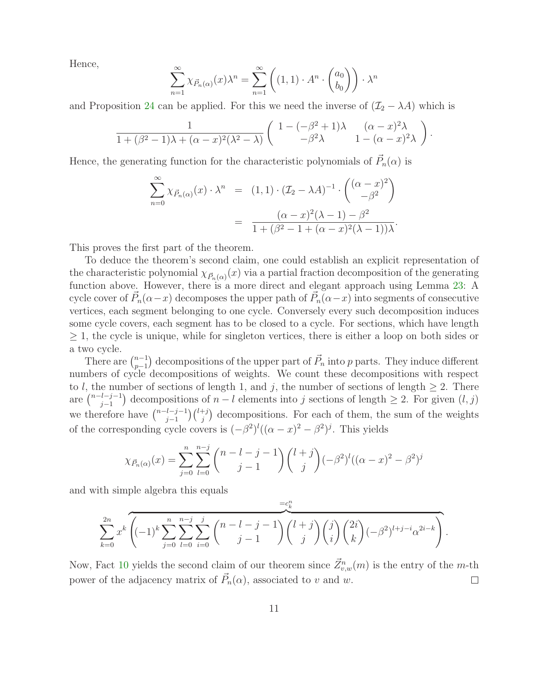Hence,

$$
\sum_{n=1}^{\infty} \chi_{\vec{P}_n(\alpha)}(x) \lambda^n = \sum_{n=1}^{\infty} \left( (1,1) \cdot A^n \cdot \begin{pmatrix} a_0 \\ b_0 \end{pmatrix} \right) \cdot \lambda^n
$$

and Proposition [24](#page-9-0) can be applied. For this we need the inverse of  $(\mathcal{I}_2 - \lambda A)$  which is

$$
\frac{1}{1+(\beta^2-1)\lambda+(\alpha-x)^2(\lambda^2-\lambda)}\begin{pmatrix}1-(-\beta^2+1)\lambda & (\alpha-x)^2\lambda\\-\beta^2\lambda & 1-(\alpha-x)^2\lambda\end{pmatrix}.
$$

Hence, the generating function for the characteristic polynomials of  $\vec{P}_n(\alpha)$  is

$$
\sum_{n=0}^{\infty} \chi_{\vec{P}_n(\alpha)}(x) \cdot \lambda^n = (1,1) \cdot (\mathcal{I}_2 - \lambda A)^{-1} \cdot \begin{pmatrix} (\alpha - x)^2 \\ -\beta^2 \end{pmatrix}
$$

$$
= \frac{(\alpha - x)^2 (\lambda - 1) - \beta^2}{1 + (\beta^2 - 1 + (\alpha - x)^2 (\lambda - 1))\lambda}.
$$

This proves the first part of the theorem.

To deduce the theorem's second claim, one could establish an explicit representation of the characteristic polynomial  $\chi_{\vec{P}_n(\alpha)}(x)$  via a partial fraction decomposition of the generating function above. However, there is a more direct and elegant approach using Lemma [23:](#page-8-2) A cycle cover of  $\vec{P}_n(\alpha-x)$  decomposes the upper path of  $\vec{P}_n(\alpha-x)$  into segments of consecutive vertices, each segment belonging to one cycle. Conversely every such decomposition induces some cycle covers, each segment has to be closed to a cycle. For sections, which have length  $\geq$  1, the cycle is unique, while for singleton vertices, there is either a loop on both sides or a two cycle.

There are  $\binom{n-1}{n-1}$  $\sum_{p-1}^{n-1}$  decompositions of the upper part of  $\vec{P}_n$  into p parts. They induce different numbers of cycle decompositions of weights. We count these decompositions with respect to l, the number of sections of length 1, and j, the number of sections of length  $\geq 2$ . There are  $\binom{n-l-j-1}{i-1}$  $j_{j-1}^{l-j-1}$  decompositions of  $n-l$  elements into j sections of length  $\geq 2$ . For given  $(l, j)$ we therefore have  $\binom{n-l-j-1}{i-1}$  $\binom{l-j-1}{j}\binom{l+j}{j}$  decompositions. For each of them, the sum of the weights of the corresponding cycle covers is  $(-\beta^2)^l((\alpha-x)^2-\beta^2)^j$ . This yields

$$
\chi_{\vec{P}_n(\alpha)}(x) = \sum_{j=0}^n \sum_{l=0}^{n-j} {n-l-j-1 \choose j-1} {l+j \choose j} (-\beta^2)^l ((\alpha-x)^2 - \beta^2)^j
$$

and with simple algebra this equals

$$
\sum_{k=0}^{2n} x^k \overbrace{\left( (-1)^k \sum_{j=0}^n \sum_{l=0}^{n-j} \sum_{i=0}^j \binom{n-l-j-1}{j-1} \binom{l+j}{j} \binom{j}{i} \binom{2i}{k} (-\beta^2)^{l+j-i} \alpha^{2i-k} }^{=\mathcal{C}_k^n}.
$$

Now, Fact [10](#page-4-1) yields the second claim of our theorem since  $\vec{Z}^n_{v,w}(m)$  is the entry of the m-th power of the adjacency matrix of  $\vec{P}_n(\alpha)$ , associated to v and w. □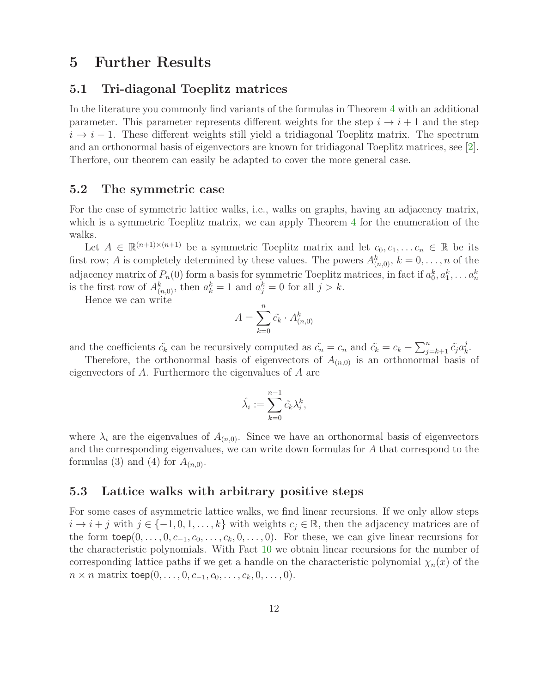# <span id="page-11-0"></span>5 Further Results

### 5.1 Tri-diagonal Toeplitz matrices

In the literature you commonly find variants of the formulas in Theorem [4](#page-2-0) with an additional parameter. This parameter represents different weights for the step  $i \rightarrow i + 1$  and the step  $i \rightarrow i-1$ . These different weights still yield a tridiagonal Toeplitz matrix. The spectrum and an orthonormal basis of eigenvectors are known for tridiagonal Toeplitz matrices, see [\[2\]](#page-14-4). Therfore, our theorem can easily be adapted to cover the more general case.

### 5.2 The symmetric case

For the case of symmetric lattice walks, i.e., walks on graphs, having an adjacency matrix, which is a symmetric Toeplitz matrix, we can apply Theorem [4](#page-2-0) for the enumeration of the walks.

Let  $A \in \mathbb{R}^{(n+1)\times(n+1)}$  be a symmetric Toeplitz matrix and let  $c_0, c_1, \ldots c_n \in \mathbb{R}$  be its first row; A is completely determined by these values. The powers  $A_{(n,0)}^k$ ,  $k = 0, \ldots, n$  of the adjacency matrix of  $P_n(0)$  form a basis for symmetric Toeplitz matrices, in fact if  $a_0^k, a_1^k, \ldots a_n^k$ is the first row of  $A_{(n,0)}^k$ , then  $a_k^k = 1$  and  $a_j^k = 0$  for all  $j > k$ .

Hence we can write

$$
A = \sum_{k=0}^{n} \tilde{c_k} \cdot A_{(n,0)}^k
$$

and the coefficients  $\tilde{c_k}$  can be recursively computed as  $\tilde{c_n} = c_n$  and  $\tilde{c_k} = c_k - \sum_{j=k+1}^n \tilde{c_j} a_k^j$  $\frac{j}{k}$ .

Therefore, the orthonormal basis of eigenvectors of  $A_{(n,0)}$  is an orthonormal basis of eigenvectors of A. Furthermore the eigenvalues of A are

$$
\hat{\lambda_i} := \sum_{k=0}^{n-1} \tilde{c_k} \lambda_i^k,
$$

where  $\lambda_i$  are the eigenvalues of  $A_{(n,0)}$ . Since we have an orthonormal basis of eigenvectors and the corresponding eigenvalues, we can write down formulas for A that correspond to the formulas (3) and (4) for  $A_{(n,0)}$ .

### <span id="page-11-1"></span>5.3 Lattice walks with arbitrary positive steps

For some cases of asymmetric lattice walks, we find linear recursions. If we only allow steps  $i \to i + j$  with  $j \in \{-1, 0, 1, \ldots, k\}$  with weights  $c_j \in \mathbb{R}$ , then the adjacency matrices are of the form  $\mathsf{toep}(0, \ldots, 0, c_{-1}, c_0, \ldots, c_k, 0, \ldots, 0)$ . For these, we can give linear recursions for the characteristic polynomials. With Fact [10](#page-4-1) we obtain linear recursions for the number of corresponding lattice paths if we get a handle on the characteristic polynomial  $\chi_n(x)$  of the  $n \times n$  matrix toep $(0, \ldots, 0, c_{-1}, c_0, \ldots, c_k, 0, \ldots, 0).$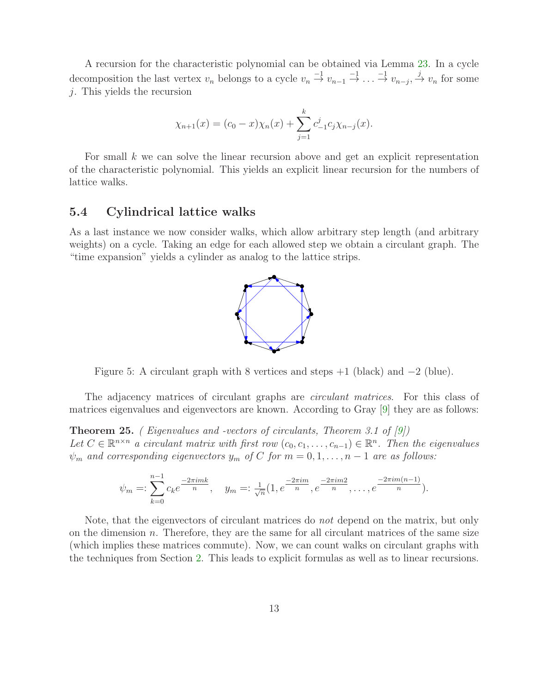A recursion for the characteristic polynomial can be obtained via Lemma [23.](#page-8-2) In a cycle decomposition the last vertex  $v_n$  belongs to a cycle  $v_n \stackrel{-1}{\rightarrow} v_{n-1} \stackrel{-1}{\rightarrow} \ldots \stackrel{-1}{\rightarrow} v_{n-j}$ ,  $\stackrel{j}{\rightarrow} v_n$  for some j. This yields the recursion

$$
\chi_{n+1}(x) = (c_0 - x)\chi_n(x) + \sum_{j=1}^k c_{-1}^j c_j \chi_{n-j}(x).
$$

For small k we can solve the linear recursion above and get an explicit representation of the characteristic polynomial. This yields an explicit linear recursion for the numbers of lattice walks.

#### 5.4 Cylindrical lattice walks

As a last instance we now consider walks, which allow arbitrary step length (and arbitrary weights) on a cycle. Taking an edge for each allowed step we obtain a circulant graph. The "time expansion" yields a cylinder as analog to the lattice strips.



Figure 5: A circulant graph with 8 vertices and steps  $+1$  (black) and  $-2$  (blue).

The adjacency matrices of circulant graphs are *circulant matrices*. For this class of matrices eigenvalues and eigenvectors are known. According to Gray [\[9\]](#page-14-11) they are as follows:

Theorem 25. ( Eigenvalues and -vectors of circulants, Theorem 3.1 of [\[9\]](#page-14-11)) Let  $C \in \mathbb{R}^{n \times n}$  a circulant matrix with first row  $(c_0, c_1, \ldots, c_{n-1}) \in \mathbb{R}^n$ . Then the eigenvalues  $\psi_m$  and corresponding eigenvectors  $y_m$  of C for  $m = 0, 1, ..., n - 1$  are as follows:

$$
\psi_m =: \sum_{k=0}^{n-1} c_k e^{\frac{-2\pi i mk}{n}}, \quad y_m =: \frac{1}{\sqrt{n}} (1, e^{\frac{-2\pi i m}{n}}, e^{\frac{-2\pi i m 2}{n}}, \dots, e^{\frac{-2\pi i m (n-1)}{n}}).
$$

Note, that the eigenvectors of circulant matrices do not depend on the matrix, but only on the dimension  $n$ . Therefore, they are the same for all circulant matrices of the same size (which implies these matrices commute). Now, we can count walks on circulant graphs with the techniques from Section [2.](#page-1-3) This leads to explicit formulas as well as to linear recursions.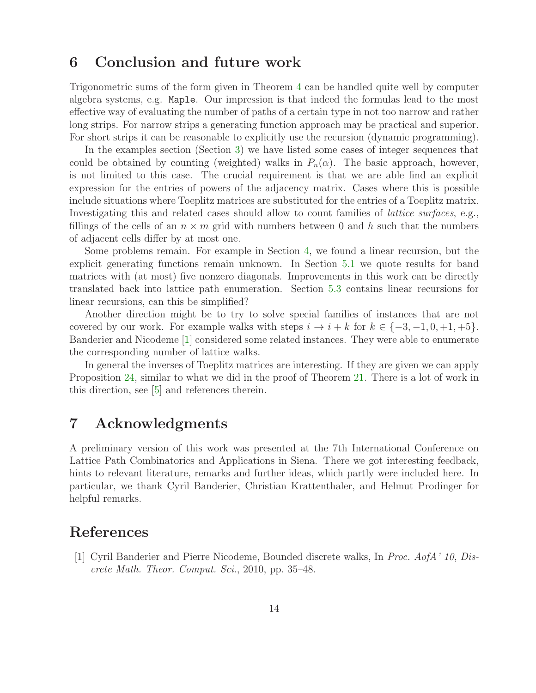### 6 Conclusion and future work

Trigonometric sums of the form given in Theorem [4](#page-2-0) can be handled quite well by computer algebra systems, e.g. Maple. Our impression is that indeed the formulas lead to the most effective way of evaluating the number of paths of a certain type in not too narrow and rather long strips. For narrow strips a generating function approach may be practical and superior. For short strips it can be reasonable to explicitly use the recursion (dynamic programming).

In the examples section (Section [3\)](#page-4-0) we have listed some cases of integer sequences that could be obtained by counting (weighted) walks in  $P_n(\alpha)$ . The basic approach, however, is not limited to this case. The crucial requirement is that we are able find an explicit expression for the entries of powers of the adjacency matrix. Cases where this is possible include situations where Toeplitz matrices are substituted for the entries of a Toeplitz matrix. Investigating this and related cases should allow to count families of *lattice surfaces*, e.g., fillings of the cells of an  $n \times m$  grid with numbers between 0 and h such that the numbers of adjacent cells differ by at most one.

Some problems remain. For example in Section [4,](#page-7-1) we found a linear recursion, but the explicit generating functions remain unknown. In Section [5.1](#page-11-0) we quote results for band matrices with (at most) five nonzero diagonals. Improvements in this work can be directly translated back into lattice path enumeration. Section [5.3](#page-11-1) contains linear recursions for linear recursions, can this be simplified?

Another direction might be to try to solve special families of instances that are not covered by our work. For example walks with steps  $i \to i + k$  for  $k \in \{-3, -1, 0, +1, +5\}$ . Banderier and Nicodeme [\[1\]](#page-13-0) considered some related instances. They were able to enumerate the corresponding number of lattice walks.

In general the inverses of Toeplitz matrices are interesting. If they are given we can apply Proposition [24,](#page-9-0) similar to what we did in the proof of Theorem [21.](#page-8-1) There is a lot of work in this direction, see [\[5\]](#page-14-12) and references therein.

# 7 Acknowledgments

A preliminary version of this work was presented at the 7th International Conference on Lattice Path Combinatorics and Applications in Siena. There we got interesting feedback, hints to relevant literature, remarks and further ideas, which partly were included here. In particular, we thank Cyril Banderier, Christian Krattenthaler, and Helmut Prodinger for helpful remarks.

# <span id="page-13-0"></span>References

[1] Cyril Banderier and Pierre Nicodeme, Bounded discrete walks, In Proc. AofA' 10, Discrete Math. Theor. Comput. Sci., 2010, pp. 35–48.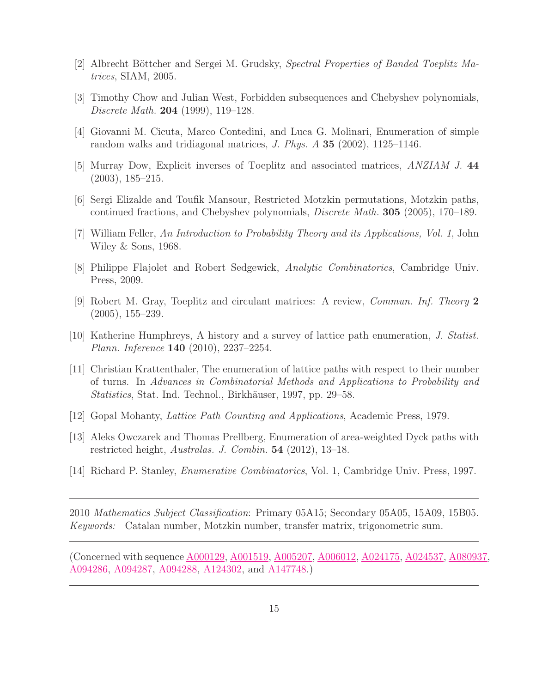- <span id="page-14-5"></span><span id="page-14-4"></span>[2] Albrecht Böttcher and Sergei M. Grudsky, Spectral Properties of Banded Toeplitz Matrices, SIAM, 2005.
- <span id="page-14-0"></span>[3] Timothy Chow and Julian West, Forbidden subsequences and Chebyshev polynomials, Discrete Math. 204 (1999), 119–128.
- <span id="page-14-12"></span>[4] Giovanni M. Cicuta, Marco Contedini, and Luca G. Molinari, Enumeration of simple random walks and tridiagonal matrices, J. Phys. A 35 (2002), 1125–1146.
- <span id="page-14-6"></span>[5] Murray Dow, Explicit inverses of Toeplitz and associated matrices, ANZIAM J. 44 (2003), 185–215.
- <span id="page-14-1"></span>[6] Sergi Elizalde and Toufik Mansour, Restricted Motzkin permutations, Motzkin paths, continued fractions, and Chebyshev polynomials, Discrete Math. 305 (2005), 170–189.
- <span id="page-14-10"></span>[7] William Feller, An Introduction to Probability Theory and its Applications, Vol. 1, John Wiley & Sons, 1968.
- <span id="page-14-11"></span>[8] Philippe Flajolet and Robert Sedgewick, Analytic Combinatorics, Cambridge Univ. Press, 2009.
- <span id="page-14-3"></span>[9] Robert M. Gray, Toeplitz and circulant matrices: A review, Commun. Inf. Theory 2 (2005), 155–239.
- <span id="page-14-9"></span>[10] Katherine Humphreys, A history and a survey of lattice path enumeration, J. Statist. Plann. Inference 140 (2010), 2237–2254.
- [11] Christian Krattenthaler, The enumeration of lattice paths with respect to their number of turns. In Advances in Combinatorial Methods and Applications to Probability and Statistics, Stat. Ind. Technol., Birkhäuser, 1997, pp. 29–58.
- <span id="page-14-8"></span><span id="page-14-2"></span>[12] Gopal Mohanty, Lattice Path Counting and Applications, Academic Press, 1979.
- [13] Aleks Owczarek and Thomas Prellberg, Enumeration of area-weighted Dyck paths with restricted height, Australas. J. Combin. 54 (2012), 13–18.
- <span id="page-14-7"></span>[14] Richard P. Stanley, Enumerative Combinatorics, Vol. 1, Cambridge Univ. Press, 1997.

2010 Mathematics Subject Classification: Primary 05A15; Secondary 05A05, 15A09, 15B05. Keywords: Catalan number, Motzkin number, transfer matrix, trigonometric sum.

(Concerned with sequence [A000129,](http://oeis.org/A000129) [A001519,](http://oeis.org/A001519) [A005207,](http://oeis.org/A005207) [A006012,](http://oeis.org/A006012) [A024175,](http://oeis.org/A024175) [A024537,](http://oeis.org/A024537) [A080937,](http://oeis.org/A080937) [A094286,](http://oeis.org/A094286) [A094287,](http://oeis.org/A094287) [A094288,](http://oeis.org/A094288) [A124302,](http://oeis.org/A124302) and [A147748.](http://oeis.org/A147748))